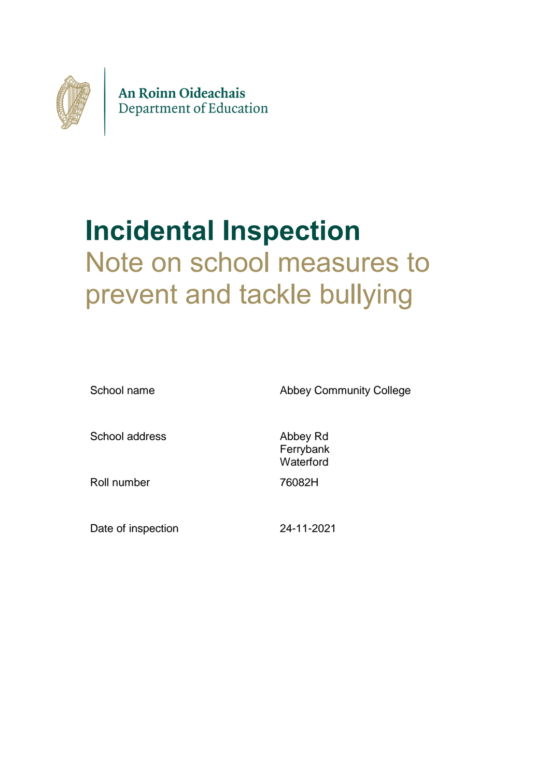

## **Incidental Inspection** Note on school measures to prevent and tackle bullying

School name **Abbey Community College** School address Abbey Rd Ferrybank **Waterford** Roll number 76082H Date of inspection 24-11-2021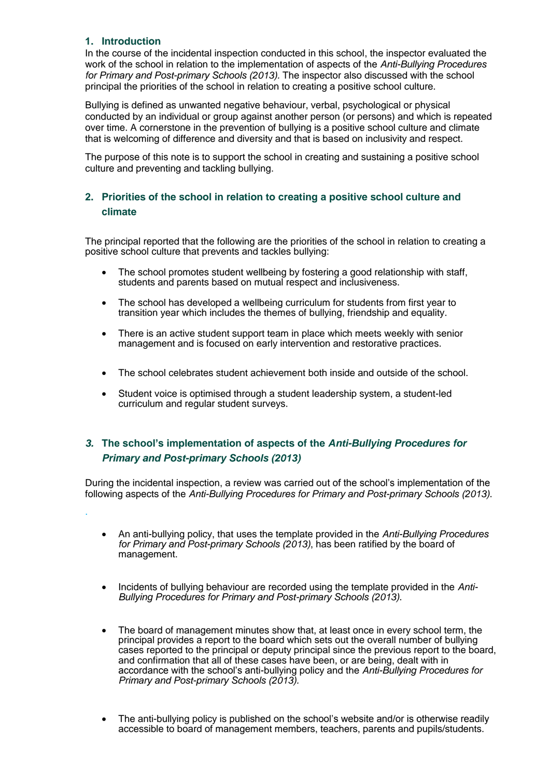## **1. Introduction**

.

In the course of the incidental inspection conducted in this school, the inspector evaluated the work of the school in relation to the implementation of aspects of the *Anti-Bullying Procedures for Primary and Post-primary Schools (2013).* The inspector also discussed with the school principal the priorities of the school in relation to creating a positive school culture.

Bullying is defined as unwanted negative behaviour, verbal, psychological or physical conducted by an individual or group against another person (or persons) and which is repeated over time. A cornerstone in the prevention of bullying is a positive school culture and climate that is welcoming of difference and diversity and that is based on inclusivity and respect.

The purpose of this note is to support the school in creating and sustaining a positive school culture and preventing and tackling bullying.

## **2. Priorities of the school in relation to creating a positive school culture and climate**

The principal reported that the following are the priorities of the school in relation to creating a positive school culture that prevents and tackles bullying:

- The school promotes student wellbeing by fostering a good relationship with staff, students and parents based on mutual respect and inclusiveness.
- The school has developed a wellbeing curriculum for students from first year to transition year which includes the themes of bullying, friendship and equality.
- There is an active student support team in place which meets weekly with senior management and is focused on early intervention and restorative practices.
- The school celebrates student achievement both inside and outside of the school.
- Student voice is optimised through a student leadership system, a student-led curriculum and regular student surveys.

## *3.* **The school's implementation of aspects of the** *Anti-Bullying Procedures for Primary and Post-primary Schools (2013)*

During the incidental inspection, a review was carried out of the school's implementation of the following aspects of the *Anti-Bullying Procedures for Primary and Post-primary Schools (2013)*.

- An anti-bullying policy, that uses the template provided in the *Anti-Bullying Procedures for Primary and Post-primary Schools (2013)*, has been ratified by the board of management.
- Incidents of bullying behaviour are recorded using the template provided in the Anti-*Bullying Procedures for Primary and Post-primary Schools (2013)*.
- The board of management minutes show that, at least once in every school term, the principal provides a report to the board which sets out the overall number of bullying cases reported to the principal or deputy principal since the previous report to the board, and confirmation that all of these cases have been, or are being, dealt with in accordance with the school's anti-bullying policy and the *Anti-Bullying Procedures for Primary and Post-primary Schools (2013).*
- The anti-bullying policy is published on the school's website and/or is otherwise readily accessible to board of management members, teachers, parents and pupils/students.